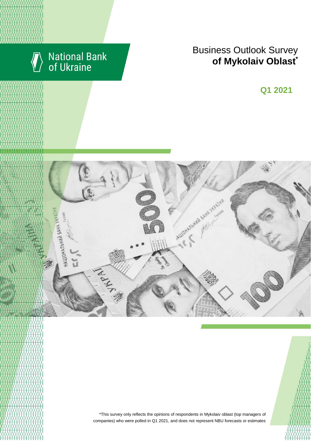

# National Bank<br>of Ukraine

## Business Outlook Survey  $\bullet$  **of Mykolaiv Oblast**

**Q2 2018 Q1 2021**





\*This survey only reflects the opinions of respondents in Mykolaiv oblast (top managers of companies) who were polled in Q1 2021, and does not represent NBU forecasts or estimates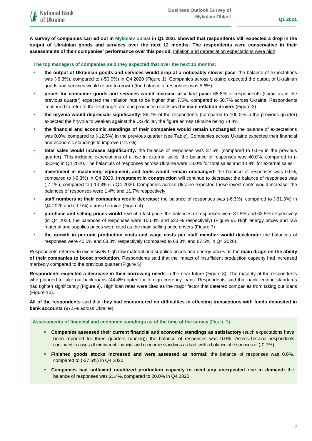**A survey of companies carried out in Mykolaiv oblast in Q1 2021 showed that respondents still expected a drop in the output of Ukrainian goods and services over the next 12 months. The respondents were conservative in their assessments of their companies' performance over this period.** Inflation and depreciation expectations were high.

**The top managers of companies said they expected that over the next 12 months:**

- **the output of Ukrainian goods and services would drop at a noticeably slower pace**: the balance of expectations was (-6.3%), compared to (-50.0%) in Q4 2020 (Figure 1). Companies across Ukraine expected the output of Ukrainian goods and services would return to growth (the balance of responses was 5.6%)
- **prices for consumer goods and services would increase at a fast pace:** 68.8% of respondents (same as in the previous quarter) expected the inflation rate to be higher than 7.5%, compared to 50.7% across Ukraine. Respondents continued to refer to the exchange rate and production costs **as the main inflation drivers** (Figure 2)
- **the hryvnia would depreciate significantly:** 86.7% of the respondents (compared to 100.0% in the previous quarter) expected the hryvnia to weaken against the US dollar, the figure across Ukraine being 74.4%
- **the financial and economic standings of their companies would remain unchanged**: the balance of expectations was 0.0%, compared to (-12.5%) in the previous quarter (see Table). Companies across Ukraine expected their financial and economic standings to improve (12.7%)
- **total sales would increase significantly:** the balance of responses was 37.5% (compared to 0.0% in the previous quarter). This included expectations of a rise in external sales: the balance of responses was 40.0%, compared to (- 33.3%) in Q4 2020. The balances of responses across Ukraine were 18.0% for total sales and 14.9% for external sales
- **investment in machinery, equipment, and tools would remain unchanged**: the balance of responses was 0.0%, compared to (-6.3%) in Q4 2020. **Investment in construction** will continue to decrease: the balance of responses was (-7.1%), compared to (-13.3%) in Q4 2020. Companies across Ukraine expected these investments would increase: the balances of responses were 1.4% and 11.7% respectively
- **staff numbers at their companies would decrease:** the balance of responses was (-6.3%), compared to (-31.3%) in Q4 2020 and (-1.9%) across Ukraine (Figure 4)
- **purchase and selling prices would rise** at a fast pace: the balances of responses were 87.5% and 62.5% respectively (in Q4 2020, the balances of responses were 100.0% and 62.5% respectively) (Figure 6). High energy prices and raw material and supplies prices were cited as the main selling price drivers (Figure 7)
- **the growth in per-unit production costs and wage costs per staff member would decelerate:** the balances of responses were 40.0% and 68.8% respectively (compared to 68.8% and 87.5% in Q4 2020).

Respondents referred to excessively high raw material and supplies prices and energy prices as the **main drags on the ability of their companies to boost production**. Respondents said that the impact of insufficient production capacity had increased markedly compared to the previous quarter (Figure 5).

**Respondents expected a decrease in their borrowing needs** in the near future (Figure 8). The majority of the respondents who planned to take out bank loans (44.4%) opted for foreign currency loans. Respondents said that bank lending standards had tighten significantly (Figure 9). High loan rates were cited as the major factor that deterred companies from taking out loans (Figure 10).

**All of the respondents** said that **they had encountered no difficulties in effecting transactions with funds deposited in bank accounts** (97.5% across Ukraine).

**Assessments of financial and economic standings as of the time of the survey** (Figure 3)

- **Companies assessed their current financial and economic standings as satisfactory** (such expectations have been reported for three quarters running)**:** the balance of responses was 0.0%. Across Ukraine, respondents continued to assess their current financial and economic standings as bad, with a balance of responses of (-0.7%).
- **Finished goods stocks increased and were assessed as normal:** the balance of responses was 0.0%, compared to (-37.5%) in Q4 2020.
- **Companies had sufficient unutilized production capacity to meet any unexpected rise in demand:** the balance of responses was 21.4%, compared to 20.0% in Q4 2020.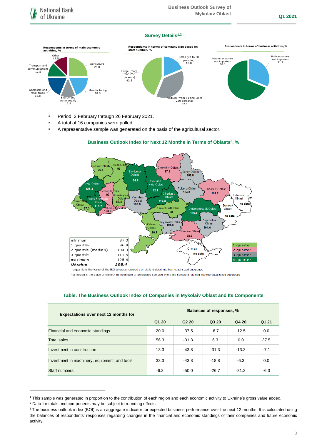## **Survey Details1,2**



- Period: 2 February through 26 February 2021.
- A total of 16 companies were polled.
- A representative sample was generated on the basis of the agricultural sector.

### Riv ne Obl ,<br>olyn Oblast iv Obl  $93$ 96.8 Sumy Oblast Zhy tomyl<br>Oblast  $97.2$  $124.6$ Kyiv and<br>Kyiv Oblast iv Oblast Poltav a Oblast  $125.4$ Kharkiy Ohlast  $112.1$ lasi emop  $104.8$ Cherkas<sub>)</sub><br>Oblast  $101.7$ 97 Luhansk hmelnytsk) Vinnytsia Oblast Ivano-Fra  $116.2$  $\overline{87.4}$ Oblast Oblast  $108.8$ no data Oblast  $118.2$ Donets ,<br>Kirov ohrad Oblas 87.3 Dnipropetrovsk Oblast Oblast  $103.9$ 90 1168 no dat Zaporizhia<br>Oblast My kolaiv Oblas<br>204.8 Odesa . . . . . .<br>Dblast 104.6 erson Oblas 98.6  $87.3$  $minimum$ ่าด่ 1 quartile 96.9 quarter  $\overline{1}$ Crimea 2 quartile (median) 104.3 quarter  $\overline{2}$ no data 3 quartile 3 quarter 111.5 maximum 125.4 4 quarter **Ukraine** 108.4

## **Business Outlook Index for Next 12 Months in Terms of Oblasts<sup>3</sup> , %**

\*a quartile is the value of the BOI where an ordered sample is divided into four equal-sized subgroups

\*\* a median is the value of the BOI in the middle of an ordered sampled where the sample is divided into two equal-sized subgroups

## **Table. The Business Outlook Index of Companies in Mykolaiv Oblast and Its Components**

| <b>Expectations over next 12 months for</b>   | <b>Balances of responses, %</b> |                               |         |         |        |
|-----------------------------------------------|---------------------------------|-------------------------------|---------|---------|--------|
|                                               | Q1 20                           | Q <sub>2</sub> 2 <sub>0</sub> | Q3 20   | Q4 20   | Q1 21  |
| Financial and economic standings              | 20.0                            | $-37.5$                       | $-6.7$  | $-12.5$ | 0.0    |
| <b>Total sales</b>                            | 56.3                            | $-31.3$                       | 6.3     | 0.0     | 37.5   |
| Investment in construction                    | 13.3                            | $-43.8$                       | $-31.3$ | $-13.3$ | $-7.1$ |
| Investment in machinery, equipment, and tools | 33.3                            | $-43.8$                       | $-18.8$ | $-6.3$  | 0.0    |
| Staff numbers                                 | $-6.3$                          | $-50.0$                       | $-26.7$ | $-31.3$ | $-6.3$ |

<sup>1</sup> This sample was generated in proportion to the contribution of each region and each economic activity to Ukraine's gross value added.

1

<sup>2</sup> Data for totals and components may be subject to rounding effects.

<sup>&</sup>lt;sup>3</sup> The business outlook index (BOI) is an aggregate indicator for expected business performance over the next 12 months. It is calculated using the balances of respondents' responses regarding changes in the financial and economic standings of their companies and future economic activity.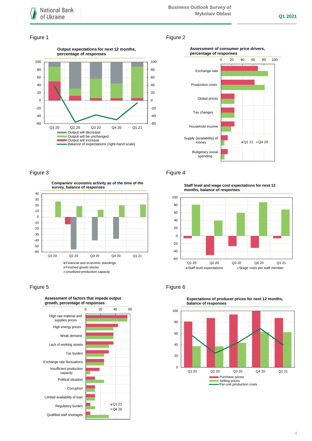## Figure 1 Figure 2







## Figure 3 **Figure 4**

-60 -50  $-40$ -30  $-20$  $-10$  $\Omega$ 10 20 30 40 Q1 20 Q2 20 Q3 20 Q4 20 Q1 21 **survey, balance of responses Financial and economic standings** Finished goods stocks **Unutilized production capacity** 

**Companies' economic activity as of the time of the** 



## **Assessment of factors that impede output**

**Staff level and wage cost expectations for next 12 months, balance of responses**



## Figure 5 **Figure 6**



**Expectations of producer prices for next 12 months,**